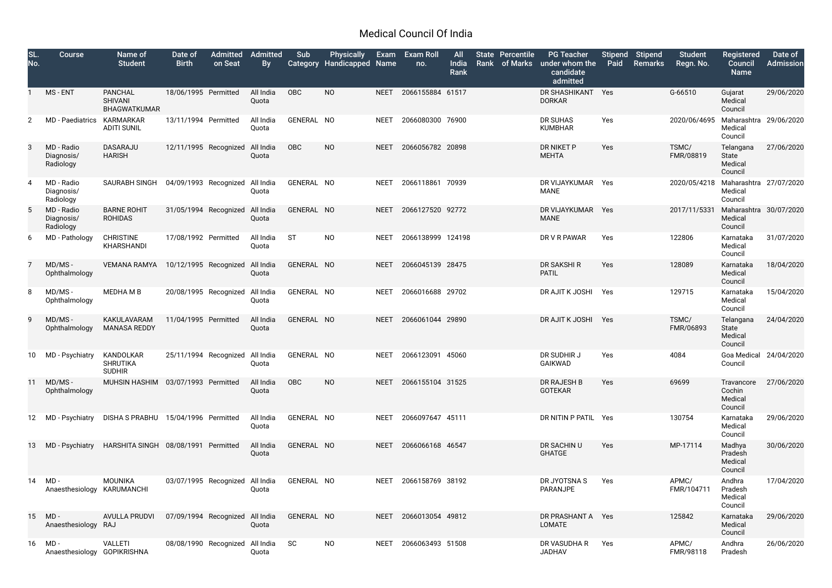## Medical Council Of India

| SL.<br>No. | <b>Course</b>                         | Name of<br><b>Student</b>                               | Date of<br><b>Birth</b>         | <b>Admitted</b><br>on Seat | Admitted<br>By     | Sub<br><b>Category</b> | <b>Physically</b><br><b>Handicapped Name</b> | Exam        | <b>Exam Roll</b><br>no. | <b>All</b><br>India<br>Rank | <b>State Percentile</b><br>Rank of Marks | <b>PG Teacher</b><br>under whom the<br>candidate<br>admitted | Paid | Stipend Stipend<br>Remarks | <b>Student</b><br>Regn. No. | Registered<br>Council<br><b>Name</b>         | Date of<br><b>Admission</b> |
|------------|---------------------------------------|---------------------------------------------------------|---------------------------------|----------------------------|--------------------|------------------------|----------------------------------------------|-------------|-------------------------|-----------------------------|------------------------------------------|--------------------------------------------------------------|------|----------------------------|-----------------------------|----------------------------------------------|-----------------------------|
|            | MS - ENT                              | <b>PANCHAL</b><br><b>SHIVANI</b><br><b>BHAGWATKUMAR</b> | 18/06/1995 Permitted            |                            | All India<br>Quota | OBC                    | <b>NO</b>                                    | <b>NEET</b> | 2066155884 61517        |                             |                                          | DR SHASHIKANT Yes<br><b>DORKAR</b>                           |      |                            | G-66510                     | Gujarat<br>Medical<br>Council                | 29/06/2020                  |
|            | MD - Paediatrics                      | KARMARKAR<br><b>ADITI SUNIL</b>                         | 13/11/1994 Permitted            |                            | All India<br>Quota | GENERAL NO             |                                              | <b>NEET</b> | 2066080300 76900        |                             |                                          | DR SUHAS<br><b>KUMBHAR</b>                                   | Yes  |                            | 2020/06/4695                | Maharashtra 29/06/2020<br>Medical<br>Council |                             |
| 3          | MD - Radio<br>Diagnosis/<br>Radiology | DASARAJU<br><b>HARISH</b>                               | 12/11/1995 Recognized           |                            | All India<br>Quota | OBC                    | <b>NO</b>                                    | <b>NEET</b> | 2066056782 20898        |                             |                                          | DR NIKET P<br><b>MEHTA</b>                                   | Yes  |                            | TSMC/<br>FMR/08819          | Telangana<br>State<br>Medical<br>Council     | 27/06/2020                  |
| 4          | MD - Radio<br>Diagnosis/<br>Radiology | SAURABH SINGH                                           | 04/09/1993 Recognized           |                            | All India<br>Quota | GENERAL NO             |                                              | <b>NEET</b> | 2066118861 70939        |                             |                                          | DR VIJAYKUMAR<br>MANE                                        | Yes  |                            | 2020/05/4218                | Maharashtra 27/07/2020<br>Medical<br>Council |                             |
|            | MD - Radio<br>Diagnosis/<br>Radiology | <b>BARNE ROHIT</b><br><b>ROHIDAS</b>                    | 31/05/1994 Recognized           |                            | All India<br>Quota | GENERAL NO             |                                              | <b>NEET</b> | 2066127520 92772        |                             |                                          | DR VIJAYKUMAR<br><b>MANE</b>                                 | Yes  |                            | 2017/11/5331                | Maharashtra 30/07/2020<br>Medical<br>Council |                             |
| 6          | MD - Pathology                        | <b>CHRISTINE</b><br>KHARSHANDI                          | 17/08/1992 Permitted            |                            | All India<br>Quota | <b>ST</b>              | <b>NO</b>                                    | <b>NEET</b> | 2066138999 124198       |                             |                                          | DR V R PAWAR                                                 | Yes  |                            | 122806                      | Karnataka<br>Medical<br>Council              | 31/07/2020                  |
|            | MD/MS-<br>Ophthalmology               | <b>VEMANA RAMYA</b>                                     | 10/12/1995 Recognized           |                            | All India<br>Quota | GENERAL NO             |                                              | <b>NEET</b> | 2066045139 28475        |                             |                                          | DR SAKSHI R<br><b>PATIL</b>                                  | Yes  |                            | 128089                      | Karnataka<br>Medical<br>Council              | 18/04/2020                  |
| 8          | MD/MS-<br>Ophthalmology               | MEDHA M B                                               | 20/08/1995 Recognized           |                            | All India<br>Quota | GENERAL NO             |                                              | <b>NEET</b> | 2066016688 29702        |                             |                                          | DR AJIT K JOSHI                                              | Yes  |                            | 129715                      | Karnataka<br>Medical<br>Council              | 15/04/2020                  |
| 9          | MD/MS-<br>Ophthalmology               | KAKULAVARAM<br><b>MANASA REDDY</b>                      | 11/04/1995 Permitted            |                            | All India<br>Quota | GENERAL NO             |                                              | <b>NEET</b> | 2066061044 29890        |                             |                                          | DR AJIT K JOSHI Yes                                          |      |                            | TSMC/<br>FMR/06893          | Telangana<br>State<br>Medical<br>Council     | 24/04/2020                  |
| 10         | MD - Psychiatry                       | KANDOLKAR<br><b>SHRUTIKA</b><br><b>SUDHIR</b>           | 25/11/1994 Recognized All India |                            | Quota              | GENERAL NO             |                                              | <b>NEET</b> | 2066123091 45060        |                             |                                          | DR SUDHIR J<br>GAIKWAD                                       | Yes  |                            | 4084                        | Goa Medical 24/04/2020<br>Council            |                             |
| -11        | MD/MS-<br>Ophthalmology               | MUHSIN HASHIM 03/07/1993 Permitted                      |                                 |                            | All India<br>Quota | OBC                    | <b>NO</b>                                    | <b>NEET</b> | 2066155104 31525        |                             |                                          | DR RAJESH B<br><b>GOTEKAR</b>                                | Yes  |                            | 69699                       | Travancore<br>Cochin<br>Medical<br>Council   | 27/06/2020                  |
|            | 12 MD - Psychiatry                    | DISHA S PRABHU 15/04/1996 Permitted                     |                                 |                            | All India<br>Quota | GENERAL NO             |                                              | <b>NEET</b> | 2066097647 45111        |                             |                                          | DR NITIN P PATIL Yes                                         |      |                            | 130754                      | Karnataka<br>Medical<br>Council              | 29/06/2020                  |
| 13         |                                       | MD-Psychiatry HARSHITA SINGH 08/08/1991 Permitted       |                                 |                            | All India<br>Quota | GENERAL NO             |                                              | <b>NEET</b> | 2066066168 46547        |                             |                                          | DR SACHIN U<br><b>GHATGE</b>                                 | Yes  |                            | MP-17114                    | Madhya<br>Pradesh<br>Medical<br>Council      | 30/06/2020                  |
| 14         | MD -<br>Anaesthesiology KARUMANCHI    | MOUNIKA                                                 | 03/07/1995 Recognized All India |                            | Quota              | GENERAL NO             |                                              | <b>NEET</b> | 2066158769 38192        |                             |                                          | DR JYOTSNA S<br><b>PARANJPE</b>                              | Yes  |                            | APMC/<br>FMR/104711         | Andhra<br>Pradesh<br>Medical<br>Council      | 17/04/2020                  |
| 15         | $MD -$<br>Anaesthesiology RAJ         | <b>AVULLA PRUDVI</b>                                    | 07/09/1994 Recognized All India |                            | Quota              | GENERAL NO             |                                              | <b>NEET</b> | 2066013054 49812        |                             |                                          | DR PRASHANT A Yes<br>LOMATE                                  |      |                            | 125842                      | Karnataka<br>Medical<br>Council              | 29/06/2020                  |
| 16         | MD -<br>Anaesthesiology GOPIKRISHNA   | <b>VALLETI</b>                                          | 08/08/1990 Recognized All India |                            | Quota              | <b>SC</b>              | NO                                           | <b>NEET</b> | 2066063493 51508        |                             |                                          | DR VASUDHA R<br><b>JADHAV</b>                                | Yes  |                            | APMC/<br>FMR/98118          | Andhra<br>Pradesh                            | 26/06/2020                  |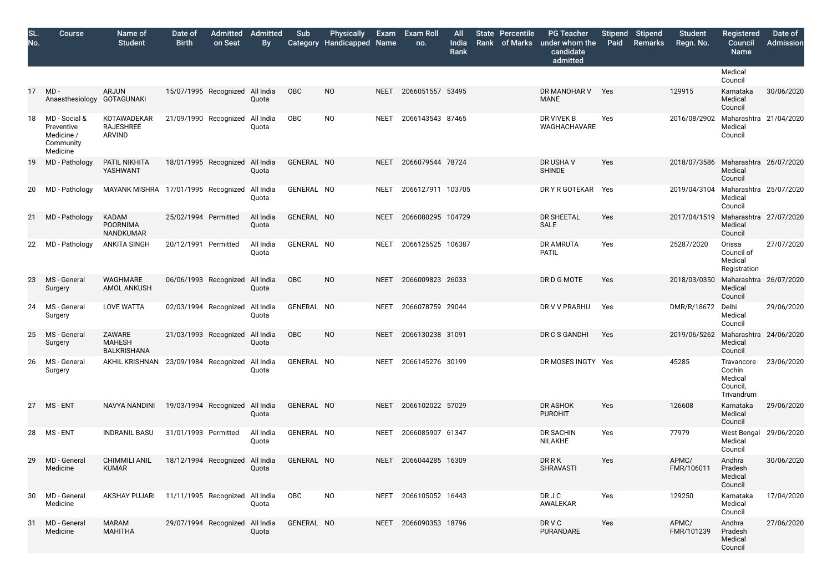| SL.<br>No. | <b>Course</b>                                                      | Name of<br><b>Student</b>                            | Date of<br><b>Birth</b>         | <b>Admitted</b><br>on Seat | Admitted<br><b>By</b> | Sub<br><b>Category</b> | <b>Physically</b><br><b>Handicapped Name</b> |             | Exam Exam Roll<br>no. | <b>All</b><br>India<br>Rank | State Percentile<br>Rank of Marks | <b>PG Teacher</b><br>under whom the<br>candidate<br>admitted | <b>Stipend</b><br>Paid | <b>Stipend</b><br>Remarks | <b>Student</b><br>Regn. No. | <b>Registered</b><br>Council<br><b>Name</b>               |
|------------|--------------------------------------------------------------------|------------------------------------------------------|---------------------------------|----------------------------|-----------------------|------------------------|----------------------------------------------|-------------|-----------------------|-----------------------------|-----------------------------------|--------------------------------------------------------------|------------------------|---------------------------|-----------------------------|-----------------------------------------------------------|
|            |                                                                    |                                                      |                                 |                            |                       |                        |                                              |             |                       |                             |                                   |                                                              |                        |                           |                             | Medical<br>Council                                        |
| 17         | $MD -$<br>Anaesthesiology GOTAGUNAKI                               | <b>ARJUN</b>                                         | 15/07/1995 Recognized All India |                            | Quota                 | OBC                    | <b>NO</b>                                    | <b>NEET</b> | 2066051557 53495      |                             |                                   | DR MANOHAR V<br><b>MANE</b>                                  | Yes                    |                           | 129915                      | Karnataka<br>Medical<br>Council                           |
| 18         | MD - Social &<br>Preventive<br>Medicine /<br>Community<br>Medicine | KOTAWADEKAR<br><b>RAJESHREE</b><br><b>ARVIND</b>     | 21/09/1990 Recognized All India |                            | Quota                 | OBC                    | <b>NO</b>                                    | <b>NEET</b> | 2066143543 87465      |                             |                                   | DR VIVEK B<br>WAGHACHAVARE                                   | Yes                    |                           | 2016/08/2902                | Maharashtra<br>Medical<br>Council                         |
| 19         | MD - Pathology                                                     | PATIL NIKHITA<br>YASHWANT                            | 18/01/1995 Recognized All India |                            | Quota                 | GENERAL NO             |                                              | <b>NEET</b> | 2066079544 78724      |                             |                                   | DR USHA V<br><b>SHINDE</b>                                   | Yes                    |                           | 2018/07/3586                | Maharashtra<br>Medical<br>Council                         |
| 20         | MD - Pathology                                                     | MAYANK MISHRA 17/01/1995 Recognized All India        |                                 |                            | Quota                 | GENERAL NO             |                                              | <b>NEET</b> | 2066127911 103705     |                             |                                   | DR Y R GOTEKAR                                               | Yes                    |                           | 2019/04/3104                | Maharashtra<br>Medical<br>Council                         |
| 21         | MD - Pathology                                                     | <b>KADAM</b><br><b>POORNIMA</b><br>NANDKUMAR         | 25/02/1994 Permitted            |                            | All India<br>Quota    | GENERAL NO             |                                              | <b>NEET</b> | 2066080295 104729     |                             |                                   | DR SHEETAL<br><b>SALE</b>                                    | Yes                    |                           | 2017/04/1519                | Maharashtra<br>Medical<br>Council                         |
| 22         | MD - Pathology                                                     | <b>ANKITA SINGH</b>                                  | 20/12/1991 Permitted            |                            | All India<br>Quota    | GENERAL NO             |                                              | <b>NEET</b> | 2066125525 106387     |                             |                                   | DR AMRUTA<br><b>PATIL</b>                                    | Yes                    |                           | 25287/2020                  | Orissa<br>Council of<br>Medical<br>Registration           |
| 23         | MS - General<br>Surgery                                            | <b>WAGHMARE</b><br>AMOL ANKUSH                       | 06/06/1993 Recognized All India |                            | Quota                 | OBC                    | <b>NO</b>                                    | <b>NEET</b> | 2066009823 26033      |                             |                                   | DR D G MOTE                                                  | Yes                    |                           | 2018/03/0350                | Maharashtra<br>Medical<br>Council                         |
| 24         | MS - General<br>Surgery                                            | <b>LOVE WATTA</b>                                    | 02/03/1994 Recognized All India |                            | Quota                 | GENERAL NO             |                                              | <b>NEET</b> | 2066078759 29044      |                             |                                   | DR V V PRABHU                                                | Yes                    |                           | DMR/R/18672                 | Delhi<br>Medical<br>Council                               |
| 25         | MS - General<br>Surgery                                            | <b>ZAWARE</b><br><b>MAHESH</b><br><b>BALKRISHANA</b> | 21/03/1993 Recognized All India |                            | Quota                 | OBC                    | <b>NO</b>                                    | <b>NEET</b> | 2066130238 31091      |                             |                                   | DR C S GANDHI                                                | Yes                    |                           | 2019/06/5262 Maharashtra    | Medical<br>Council                                        |
| 26         | MS - General<br>Surgery                                            | AKHIL KRISHNAN 23/09/1984 Recognized All India       |                                 |                            | Quota                 | GENERAL NO             |                                              | <b>NEET</b> | 2066145276 30199      |                             |                                   | DR MOSES INGTY Yes                                           |                        |                           | 45285                       | Travancore<br>Cochin<br>Medical<br>Council,<br>Trivandrum |
|            | 27 MS-ENT                                                          | NAVYA NANDINI                                        | 19/03/1994 Recognized All India |                            | Quota                 | GENERAL NO             |                                              | <b>NEET</b> | 2066102022 57029      |                             |                                   | DR ASHOK<br><b>PUROHIT</b>                                   | Yes                    |                           | 126608                      | Karnataka<br>Medical<br>Council                           |
| 28         | MS - ENT                                                           | <b>INDRANIL BASU</b>                                 | 31/01/1993 Permitted            |                            | All India<br>Quota    | GENERAL NO             |                                              | <b>NEET</b> | 2066085907 61347      |                             |                                   | DR SACHIN<br><b>NILAKHE</b>                                  | Yes                    |                           | 77979                       | <b>West Bengal</b><br>Medical<br>Council                  |
| 29         | MD - General<br>Medicine                                           | <b>CHIMMILI ANIL</b><br><b>KUMAR</b>                 | 18/12/1994 Recognized All India |                            | Quota                 | GENERAL NO             |                                              | <b>NEET</b> | 2066044285 16309      |                             |                                   | DRRK<br><b>SHRAVASTI</b>                                     | Yes                    |                           | APMC/<br>FMR/106011         | Andhra<br>Pradesh<br>Medical<br>Council                   |
| 30         | MD - General<br>Medicine                                           | <b>AKSHAY PUJARI</b>                                 | 11/11/1995 Recognized All India |                            | Quota                 | <b>OBC</b>             | <b>NO</b>                                    | <b>NEET</b> | 2066105052 16443      |                             |                                   | DR J C<br>AWALEKAR                                           | Yes                    |                           | 129250                      | Karnataka<br>Medical<br>Council                           |
| 31         | MD - General<br>Medicine                                           | <b>MARAM</b><br><b>MAHITHA</b>                       | 29/07/1994 Recognized All India |                            | Quota                 | GENERAL NO             |                                              | <b>NEET</b> | 2066090353 18796      |                             |                                   | DR V C<br>PURANDARE                                          | Yes                    |                           | APMC/<br>FMR/101239         | Andhra<br>Pradesh<br>Medical                              |

| Paid | Stipend Stipend<br><b>Remarks</b> | <b>Student</b><br>Regn. No. | <b>Registered</b><br><b>Council</b><br><b>Name</b>        | Date of<br><b>Admission</b> |
|------|-----------------------------------|-----------------------------|-----------------------------------------------------------|-----------------------------|
|      |                                   |                             | Medical<br>Council                                        |                             |
| Yes  |                                   | 129915                      | Karnataka<br>Medical<br>Council                           | 30/06/2020                  |
| Yes  |                                   | 2016/08/2902                | Maharashtra<br>Medical<br>Council                         | 21/04/2020                  |
| Yes  |                                   | 2018/07/3586                | Maharashtra<br>Medical<br>Council                         | 26/07/2020                  |
| Yes  |                                   | 2019/04/3104                | Maharashtra<br>Medical<br>Council                         | 25/07/2020                  |
| Yes  |                                   | 2017/04/1519                | Maharashtra<br>Medical<br>Council                         | 27/07/2020                  |
| Yes  |                                   | 25287/2020                  | Orissa<br>Council of<br>Medical<br>Registration           | 27/07/2020                  |
| Yes  |                                   | 2018/03/0350                | Maharashtra<br>Medical<br>Council                         | 26/07/2020                  |
| Yes  |                                   | DMR/R/18672                 | Delhi<br>Medical<br>Council                               | 29/06/2020                  |
| Yes  |                                   | 2019/06/5262                | Maharashtra<br>Medical<br>Council                         | 24/06/2020                  |
| Yes  |                                   | 45285                       | Travancore<br>Cochin<br>Medical<br>Council,<br>Trivandrum | 23/06/2020                  |
| Yes  |                                   | 126608                      | Karnataka<br>Medical<br>Council                           | 29/06/2020                  |
| Yes  |                                   | 77979                       | West Bengal<br>Medical<br>Council                         | 29/06/2020                  |
| Yes  |                                   | APMC/<br>FMR/106011         | Andhra<br>Pradesh<br>Medical<br>Council                   | 30/06/2020                  |
| Yes  |                                   | 129250                      | Karnataka<br>Medical<br>Council                           | 17/04/2020                  |
| Yes  |                                   | APMC/<br>FMR/101239         | Andhra<br>Pradesh<br>Medical<br>Council                   | 27/06/2020                  |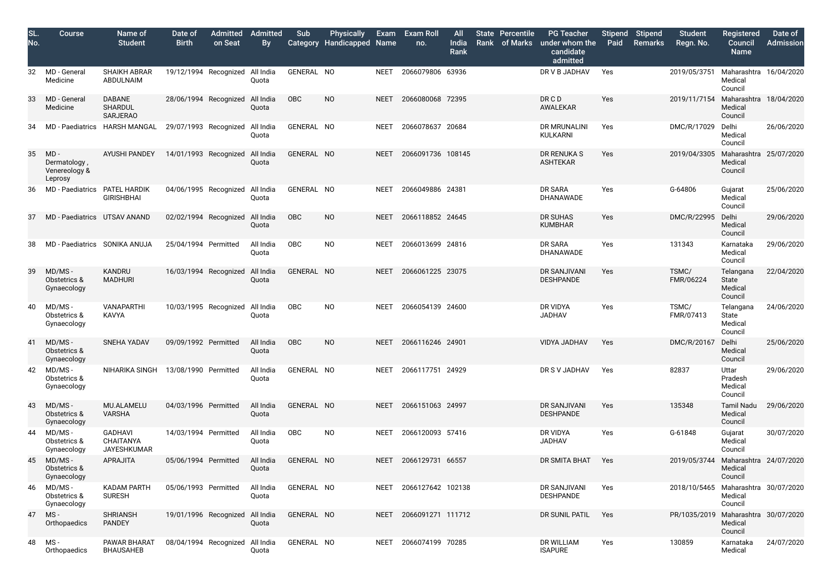| SL.<br>No. | <b>Course</b>                                      | Name of<br><b>Student</b>                          | Date of<br><b>Birth</b>         | <b>Admitted Admitted</b><br>on Seat | <b>By</b>          | Sub<br>Category | <b>Physically</b><br><b>Handicapped Name</b> |             | Exam Exam Roll<br>no. | <b>All</b><br>India<br>Rank | <b>State Percentile</b><br>Rank of Marks | <b>PG Teacher</b><br>under whom the<br>candidate<br>admitted | Paid | Stipend Stipend<br>Remarks | <b>Student</b><br>Regn. No. | <b>Registered</b><br>Council<br><b>Name</b> |
|------------|----------------------------------------------------|----------------------------------------------------|---------------------------------|-------------------------------------|--------------------|-----------------|----------------------------------------------|-------------|-----------------------|-----------------------------|------------------------------------------|--------------------------------------------------------------|------|----------------------------|-----------------------------|---------------------------------------------|
| 32         | MD - General<br>Medicine                           | <b>SHAIKH ABRAR</b><br>ABDULNAIM                   |                                 | 19/12/1994 Recognized All India     | Quota              | GENERAL NO      |                                              | <b>NEET</b> | 2066079806 63936      |                             |                                          | DR V B JADHAV                                                | Yes  |                            | 2019/05/3751                | Maharashtra<br>Medical<br>Council           |
| 33         | MD - General<br>Medicine                           | <b>DABANE</b><br><b>SHARDUL</b><br><b>SARJERAO</b> |                                 | 28/06/1994 Recognized All India     | Quota              | OBC             | N <sub>O</sub>                               | <b>NEET</b> | 2066080068 72395      |                             |                                          | DRCD<br>AWALEKAR                                             | Yes  |                            | 2019/11/7154                | Maharashtra<br>Medical<br>Council           |
| 34         | <b>MD</b> - Paediatrics                            | <b>HARSH MANGAL</b>                                | 29/07/1993 Recognized All India |                                     | Quota              | GENERAL NO      |                                              | <b>NEET</b> | 2066078637 20684      |                             |                                          | DR MRUNALINI<br><b>KULKARNI</b>                              | Yes  |                            | DMC/R/17029                 | Delhi<br>Medical<br>Council                 |
| 35         | $MD -$<br>Dermatology,<br>Venereology &<br>Leprosy | <b>AYUSHI PANDEY</b>                               | 14/01/1993 Recognized All India |                                     | Quota              | GENERAL NO      |                                              | <b>NEET</b> | 2066091736 108145     |                             |                                          | DR RENUKA S<br><b>ASHTEKAR</b>                               | Yes  |                            | 2019/04/3305                | Maharashtra<br>Medical<br>Council           |
| 36         | <b>MD</b> - Paediatrics                            | PATEL HARDIK<br><b>GIRISHBHAI</b>                  | 04/06/1995 Recognized All India |                                     | Quota              | GENERAL NO      |                                              | <b>NEET</b> | 2066049886 24381      |                             |                                          | DR SARA<br>DHANAWADE                                         | Yes  |                            | G-64806                     | Gujarat<br>Medical<br>Council               |
| 37         | MD - Paediatrics UTSAV ANAND                       |                                                    | 02/02/1994 Recognized           |                                     | All India<br>Quota | OBC             | N <sub>O</sub>                               | <b>NEET</b> | 2066118852 24645      |                             |                                          | DR SUHAS<br><b>KUMBHAR</b>                                   | Yes  |                            | DMC/R/22995                 | Delhi<br>Medical<br>Council                 |
| 38         | MD - Paediatrics SONIKA ANUJA                      |                                                    | 25/04/1994 Permitted            |                                     | All India<br>Quota | OBC             | N <sub>O</sub>                               | <b>NEET</b> | 2066013699 24816      |                             |                                          | DR SARA<br>DHANAWADE                                         | Yes  |                            | 131343                      | Karnataka<br>Medical<br>Council             |
| 39         | MD/MS-<br>Obstetrics &<br>Gynaecology              | KANDRU<br><b>MADHURI</b>                           |                                 | 16/03/1994 Recognized All India     | Quota              | GENERAL NO      |                                              | <b>NEET</b> | 2066061225 23075      |                             |                                          | DR SANJIVANI<br><b>DESHPANDE</b>                             | Yes  |                            | TSMC/<br>FMR/06224          | Telangana<br>State<br>Medical<br>Council    |
| 40         | MD/MS-<br>Obstetrics &<br>Gynaecology              | <b>VANAPARTHI</b><br><b>KAVYA</b>                  |                                 | 10/03/1995 Recognized All India     | Quota              | OBC             | N <sub>O</sub>                               | <b>NEET</b> | 2066054139 24600      |                             |                                          | DR VIDYA<br><b>JADHAV</b>                                    | Yes  |                            | TSMC/<br>FMR/07413          | Telangana<br>State<br>Medical<br>Council    |
|            | 41 MD/MS-<br>Obstetrics &<br>Gynaecology           | SNEHA YADAV 09/09/1992 Permitted All India OBC     |                                 |                                     | Quota              |                 | <b>NO</b>                                    |             | NEET 2066116246 24901 |                             |                                          | VIDYA JADHAV Yes                                             |      |                            | DMC/R/20167 Delhi           | Medical<br>Council                          |
| 42         | MD/MS-<br>Obstetrics &<br>Gynaecology              | NIHARIKA SINGH 13/08/1990 Permitted                |                                 |                                     | All India<br>Quota | GENERAL NO      |                                              | <b>NEET</b> | 2066117751 24929      |                             |                                          | DR S V JADHAV                                                | Yes  |                            | 82837                       | Uttar<br>Pradesh<br>Medical<br>Council      |
| 43         | MD/MS-<br>Obstetrics &<br>Gynaecology              | MU.ALAMELU<br><b>VARSHA</b>                        | 04/03/1996 Permitted            |                                     | All India<br>Quota | GENERAL NO      |                                              | <b>NEET</b> | 2066151063 24997      |                             |                                          | <b>DR SANJIVANI</b><br><b>DESHPANDE</b>                      | Yes  |                            | 135348                      | <b>Tamil Nadu</b><br>Medical<br>Council     |
| 44         | MD/MS-<br>Obstetrics &<br>Gynaecology              | <b>GADHAVI</b><br>CHAITANYA<br>JAYESHKUMAR         | 14/03/1994 Permitted            |                                     | All India<br>Quota | OBC             | <b>NO</b>                                    | <b>NEET</b> | 2066120093 57416      |                             |                                          | DR VIDYA<br><b>JADHAV</b>                                    | Yes  |                            | G-61848                     | Gujarat<br>Medical<br>Council               |
| 45         | MD/MS-<br>Obstetrics &<br>Gynaecology              | APRAJITA                                           | 05/06/1994 Permitted            |                                     | All India<br>Quota | GENERAL NO      |                                              | <b>NEET</b> | 2066129731 66557      |                             |                                          | DR SMITA BHAT                                                | Yes  |                            | 2019/05/3744                | Maharashtra<br>Medical<br>Council           |
| 46         | MD/MS-<br>Obstetrics &<br>Gynaecology              | <b>KADAM PARTH</b><br><b>SURESH</b>                | 05/06/1993 Permitted            |                                     | All India<br>Quota | GENERAL NO      |                                              | <b>NEET</b> | 2066127642 102138     |                             |                                          | DR SANJIVANI<br><b>DESHPANDE</b>                             | Yes  |                            | 2018/10/5465                | Maharashtra<br>Medical<br>Council           |
| 47         | MS-<br>Orthopaedics                                | <b>SHRIANSH</b><br><b>PANDEY</b>                   |                                 | 19/01/1996 Recognized All India     | Quota              | GENERAL NO      |                                              | <b>NEET</b> | 2066091271 111712     |                             |                                          | DR SUNIL PATIL                                               | Yes  |                            | PR/1035/2019                | Maharashtra<br>Medical<br>Council           |
| 48         | MS-<br>Orthopaedics                                | PAWAR BHARAT<br><b>BHAUSAHEB</b>                   | 08/04/1994 Recognized All India |                                     | Quota              | GENERAL NO      |                                              | <b>NEET</b> | 2066074199 70285      |                             |                                          | DR WILLIAM<br><b>ISAPURE</b>                                 | Yes  |                            | 130859                      | Karnataka<br>Medical                        |

| <b>Stipend</b><br>Paid | <b>Stipend</b><br><b>Remarks</b> | <b>Student</b><br>Regn. No. | <b>Registered</b><br>Council<br><b>Name</b>     | Date of<br><b>Admission</b> |
|------------------------|----------------------------------|-----------------------------|-------------------------------------------------|-----------------------------|
| Yes                    |                                  | 2019/05/3751                | Maharashtra<br>Medical<br>Council               | 16/04/2020                  |
| Yes                    |                                  | 2019/11/7154                | Maharashtra<br>Medical<br>Council               | 18/04/2020                  |
| Yes                    |                                  | DMC/R/17029                 | Delhi<br>Medical<br>Council                     | 26/06/2020                  |
| Yes                    |                                  | 2019/04/3305                | Maharashtra<br>Medical<br>Council               | 25/07/2020                  |
| Yes                    |                                  | G-64806                     | Gujarat<br>Medical<br>Council                   | 25/06/2020                  |
| Yes                    |                                  | DMC/R/22995                 | Delhi<br>Medical<br>Council                     | 29/06/2020                  |
| Yes                    |                                  | 131343                      | Karnataka<br>Medical<br>Council                 | 29/06/2020                  |
| Yes                    |                                  | TSMC/<br>FMR/06224          | Telangana<br><b>State</b><br>Medical<br>Council | 22/04/2020                  |
| Yes                    |                                  | TSMC/<br>FMR/07413          | Telangana<br><b>State</b><br>Medical<br>Council | 24/06/2020                  |
| Yes                    |                                  | DMC/R/20167                 | Delhi<br>Medical<br>Council                     | 25/06/2020                  |
| Yes                    |                                  | 82837                       | Uttar<br>Pradesh<br>Medical<br>Council          | 29/06/2020                  |
| Yes                    |                                  | 135348                      | <b>Tamil Nadu</b><br>Medical<br>Council         | 29/06/2020                  |
| Yes                    |                                  | G-61848                     | Gujarat<br>Medical<br>Council                   | 30/07/2020                  |
| Yes                    |                                  | 2019/05/3744                | Maharashtra<br>Medical<br>Council               | 24/07/2020                  |
| Yes                    |                                  | 2018/10/5465                | Maharashtra<br>Medical<br>Council               | 30/07/2020                  |
| Yes                    |                                  | PR/1035/2019                | Maharashtra<br>Medical<br>Council               | 30/07/2020                  |
| Yes                    |                                  | 130859                      | Karnataka<br>Medical                            | 24/07/2020                  |